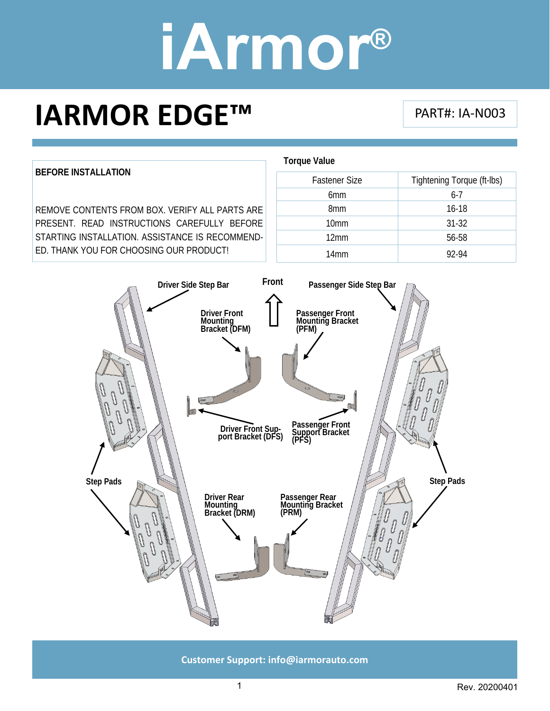### **IARMOR EDGE™**

PART#: IA‐N003

**BEFORE INSTALLATION**  REMOVE CONTENTS FROM BOX. VERIFY ALL PARTS ARE PRESENT. READ INSTRUCTIONS CAREFULLY BEFORE STARTING INSTALLATION. ASSISTANCE IS RECOMMEND-

ED. THANK YOU FOR CHOOSING OUR PRODUCT!

| <b>Torque Value</b>  |                            |
|----------------------|----------------------------|
| <b>Fastener Size</b> | Tightening Torque (ft-Ibs) |
| 6 <sub>mm</sub>      | $6 - 7$                    |
| 8 <sub>mm</sub>      | $16 - 18$                  |
| 10 <sub>mm</sub>     | $31 - 32$                  |
| 12mm                 | 56-58                      |
| 14mm                 | 92-94                      |



**Customer Support: info@iarmorauto.com** 

1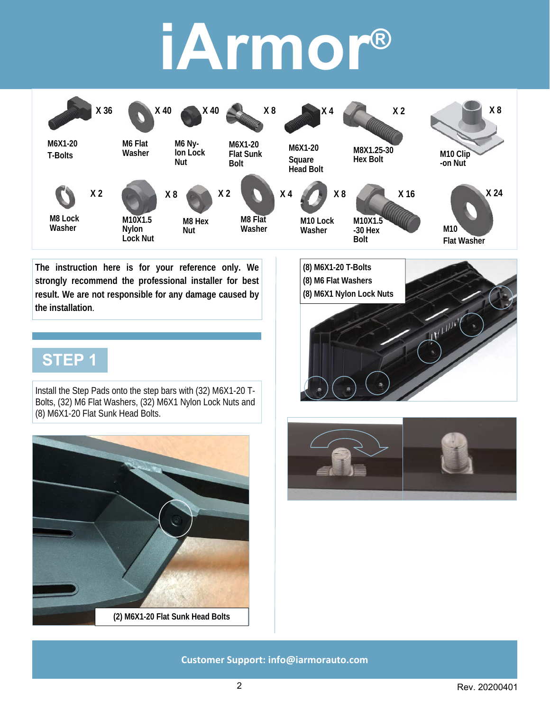

**The instruction here is for your reference only. We strongly recommend the professional installer for best result. We are not responsible for any damage caused by the installation**.

### **STEP 1**

Install the Step Pads onto the step bars with (32) M6X1-20 T-Bolts, (32) M6 Flat Washers, (32) M6X1 Nylon Lock Nuts and (8) M6X1-20 Flat Sunk Head Bolts.





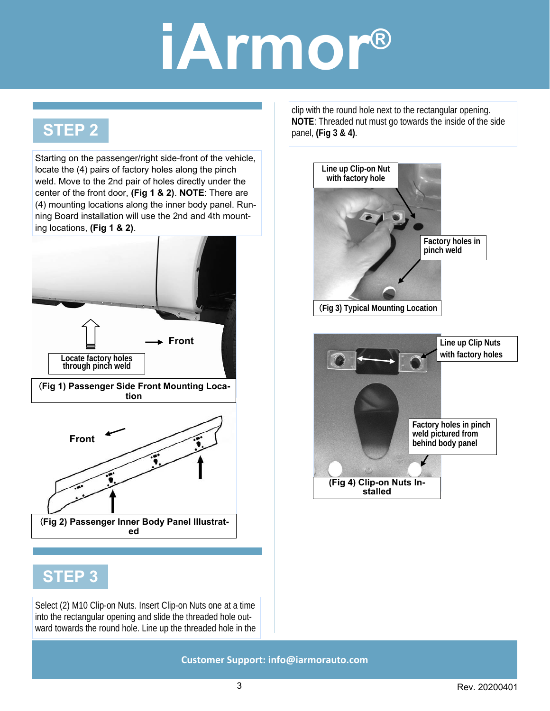#### **STEP 2**

Starting on the passenger/right side-front of the vehicle, locate the (4) pairs of factory holes along the pinch weld. Move to the 2nd pair of holes directly under the center of the front door, **(Fig 1 & 2)**. **NOTE**: There are (4) mounting locations along the inner body panel. Running Board installation will use the 2nd and 4th mounting locations, **(Fig 1 & 2)**.



#### **STEP 3**

Select (2) M10 Clip-on Nuts. Insert Clip-on Nuts one at a time into the rectangular opening and slide the threaded hole outward towards the round hole. Line up the threaded hole in the clip with the round hole next to the rectangular opening. **NOTE**: Threaded nut must go towards the inside of the side panel, **(Fig 3 & 4)**.

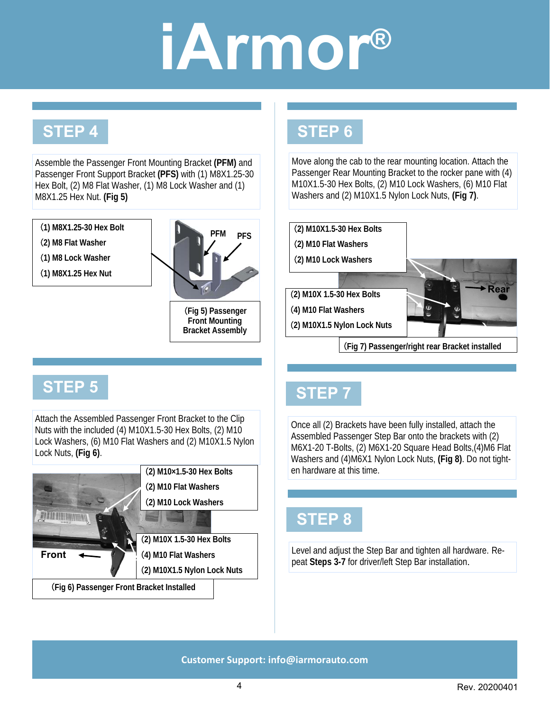### **STEP 4**

Assemble the Passenger Front Mounting Bracket **(PFM)** and Passenger Front Support Bracket **(PFS)** with (1) M8X1.25-30 Hex Bolt, (2) M8 Flat Washer, (1) M8 Lock Washer and (1) M8X1.25 Hex Nut. **(Fig 5)**

(**1) M8X1.25-30 Hex Bolt** 

- (**2) M8 Flat Washer**
- (**1) M8 Lock Washer**
- (**1) M8X1.25 Hex Nut**



(**Fig 5) Passenger Front Mounting Bracket Assembly** 

### **STEP 6**

Move along the cab to the rear mounting location. Attach the Passenger Rear Mounting Bracket to the rocker pane with (4) M10X1.5-30 Hex Bolts, (2) M10 Lock Washers, (6) M10 Flat Washers and (2) M10X1.5 Nylon Lock Nuts, **(Fig 7)**.



(**Fig 7) Passenger/right rear Bracket installed** 

#### **STEP 5**

Attach the Assembled Passenger Front Bracket to the Clip Nuts with the included (4) M10X1.5-30 Hex Bolts, (2) M10 Lock Washers, (6) M10 Flat Washers and (2) M10X1.5 Nylon Lock Nuts, **(Fig 6)**.

|                                           | (2) M10×1.5-30 Hex Bolts    |
|-------------------------------------------|-----------------------------|
|                                           | (2) M10 Flat Washers        |
|                                           | (2) M10 Lock Washers        |
|                                           |                             |
|                                           | (2) M10X 1.5-30 Hex Bolts   |
| <b>Front</b>                              | (4) M10 Flat Washers        |
|                                           | (2) M10X1.5 Nylon Lock Nuts |
| (Fig 6) Passenger Front Bracket Installed |                             |

#### **STEP 7**

Once all (2) Brackets have been fully installed, attach the Assembled Passenger Step Bar onto the brackets with (2) M6X1-20 T-Bolts, (2) M6X1-20 Square Head Bolts,(4)M6 Flat Washers and (4)M6X1 Nylon Lock Nuts, **(Fig 8)**. Do not tighten hardware at this time.

#### **STEP 8**

Level and adjust the Step Bar and tighten all hardware. Repeat **Steps 3-7** for driver/left Step Bar installation.